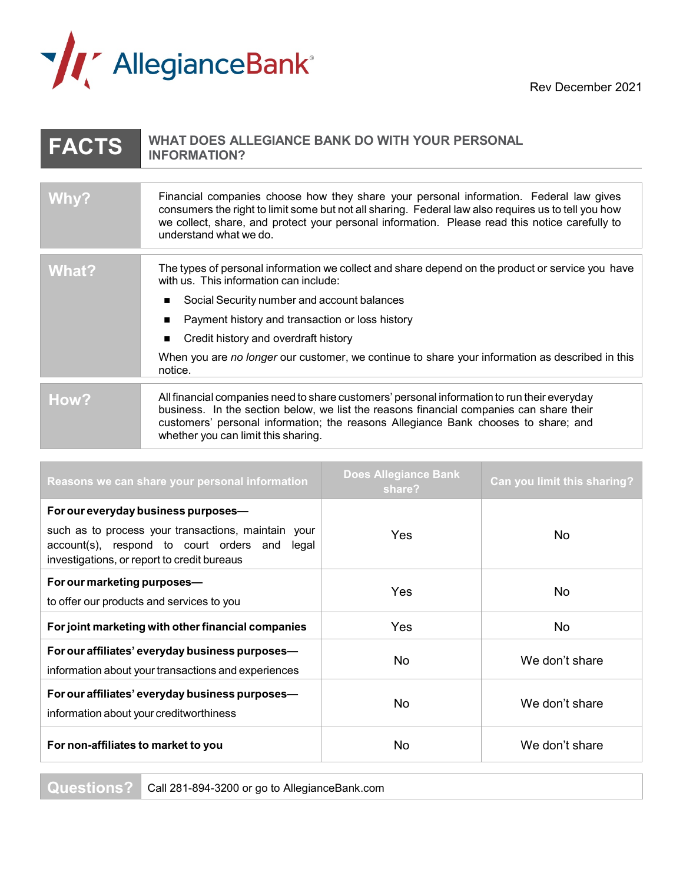

Rev December 2021

## **FACTS WHAT DOES ALLEGIANCE BANK DO WITH YOUR PERSONAL INFORMATION? Why?** Financial companies choose how they share your personal information. Federal law gives consumers the right to limit some but not all sharing. Federal law also requires us to tell you how we collect, share, and protect your personal information. Please read this notice carefully to understand what we do. What? The types of personal information we collect and share depend on the product or service you have with us. This information can include: ■ Social Security number and account balances ■ Payment history and transaction or loss history ■ Credit history and overdraft history When you are *no longer* our customer, we continue to share your information as described in this notice. **How?** All financial companies need to share customers' personal information to run their everyday business. In the section below, we list the reasons financial companies can share their customers' personal information; the reasons Allegiance Bank chooses to share; and whether you can limit this sharing.

| Reasons we can share your personal information                                                                                                      | <b>Does Allegiance Bank</b><br>share? | Can you limit this sharing? |
|-----------------------------------------------------------------------------------------------------------------------------------------------------|---------------------------------------|-----------------------------|
| For our everyday business purposes-                                                                                                                 |                                       |                             |
| such as to process your transactions, maintain your<br>account(s), respond to court orders and legal<br>investigations, or report to credit bureaus | <b>Yes</b>                            | No.                         |
| For our marketing purposes-                                                                                                                         | Yes                                   | No.                         |
| to offer our products and services to you                                                                                                           |                                       |                             |
| For joint marketing with other financial companies                                                                                                  | <b>Yes</b>                            | No                          |
| For our affiliates' everyday business purposes-                                                                                                     | <b>No</b>                             | We don't share              |
| information about your transactions and experiences                                                                                                 |                                       |                             |
| For our affiliates' everyday business purposes-<br>information about your creditworthiness                                                          | <b>No</b>                             | We don't share              |
| For non-affiliates to market to you                                                                                                                 | No.                                   | We don't share              |

**Questions?** Call 281-894-3200 or go to AllegianceBank.com